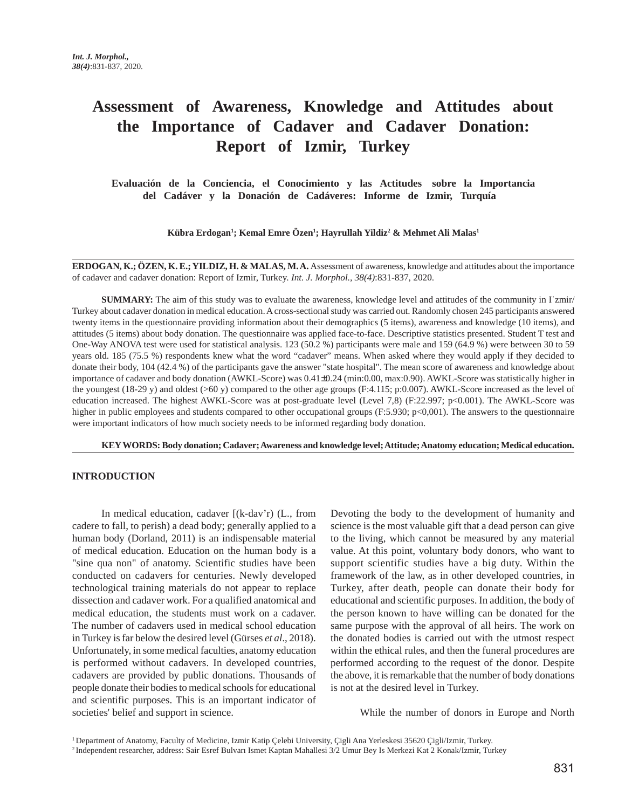# **Assessment of Awareness, Knowledge and Attitudes about the Importance of Cadaver and Cadaver Donation: Report of Izmir, Turkey**

 **Evaluación de la Conciencia, el Conocimiento y las Actitudes sobre la Importancia del Cadáver y la Donación de Cadáveres: Informe de Izmir, Turquía**

**Kübra Erdogan1 ; Kemal Emre Özen1 ; Hayrullah Yildiz2 & Mehmet Ali Malas1**

**ERDOGAN, K.; ÖZEN, K. E.; YILDIZ, H. & MALAS, M. A.** Assessment of awareness, knowledge and attitudes about the importance of cadaver and cadaver donation: Report of Izmir, Turkey. *Int. J. Morphol., 38(4)*:831-837, 2020.

**SUMMARY:** The aim of this study was to evaluate the awareness, knowledge level and attitudes of the community in I zmir/ Turkey about cadaver donation in medical education. A cross-sectional study was carried out. Randomly chosen 245 participants answered twenty items in the questionnaire providing information about their demographics (5 items), awareness and knowledge (10 items), and attitudes (5 items) about body donation. The questionnaire was applied face-to-face. Descriptive statistics presented. Student T test and One-Way ANOVA test were used for statistical analysis. 123 (50.2 %) participants were male and 159 (64.9 %) were between 30 to 59 years old. 185 (75.5 %) respondents knew what the word "cadaver" means. When asked where they would apply if they decided to donate their body, 104 (42.4 %) of the participants gave the answer "state hospital". The mean score of awareness and knowledge about importance of cadaver and body donation (AWKL-Score) was 0.41±0.24 (min:0.00, max:0.90). AWKL-Score was statistically higher in the youngest (18-29 y) and oldest (>60 y) compared to the other age groups (F:4.115; p:0.007). AWKL-Score increased as the level of education increased. The highest AWKL-Score was at post-graduate level (Level 7,8) (F:22.997; p<0.001). The AWKL-Score was higher in public employees and students compared to other occupational groups (F:5.930; p<0,001). The answers to the questionnaire were important indicators of how much society needs to be informed regarding body donation.

**KEY WORDS: Body donation; Cadaver; Awareness and knowledge level; Attitude; Anatomy education; Medical education.**

## **INTRODUCTION**

In medical education, cadaver [(k-dav'r) (L., from cadere to fall, to perish) a dead body; generally applied to a human body (Dorland, 2011) is an indispensable material of medical education. Education on the human body is a "sine qua non" of anatomy. Scientific studies have been conducted on cadavers for centuries. Newly developed technological training materials do not appear to replace dissection and cadaver work. For a qualified anatomical and medical education, the students must work on a cadaver. The number of cadavers used in medical school education in Turkey is far below the desired level (Gürses *et al*., 2018). Unfortunately, in some medical faculties, anatomy education is performed without cadavers. In developed countries, cadavers are provided by public donations. Thousands of people donate their bodies to medical schools for educational and scientific purposes. This is an important indicator of societies' belief and support in science.

Devoting the body to the development of humanity and science is the most valuable gift that a dead person can give to the living, which cannot be measured by any material value. At this point, voluntary body donors, who want to support scientific studies have a big duty. Within the framework of the law, as in other developed countries, in Turkey, after death, people can donate their body for educational and scientific purposes. In addition, the body of the person known to have willing can be donated for the same purpose with the approval of all heirs. The work on the donated bodies is carried out with the utmost respect within the ethical rules, and then the funeral procedures are performed according to the request of the donor. Despite the above, it is remarkable that the number of body donations is not at the desired level in Turkey.

While the number of donors in Europe and North

1 Department of Anatomy, Faculty of Medicine, Izmir Katip Çelebi University, Çigli Ana Yerleskesi 35620 Çigli/Izmir, Turkey.

<sup>2</sup> Independent researcher, address: Sair Esref Bulvarı Ismet Kaptan Mahallesi 3/2 Umur Bey Is Merkezi Kat 2 Konak/Izmir, Turkey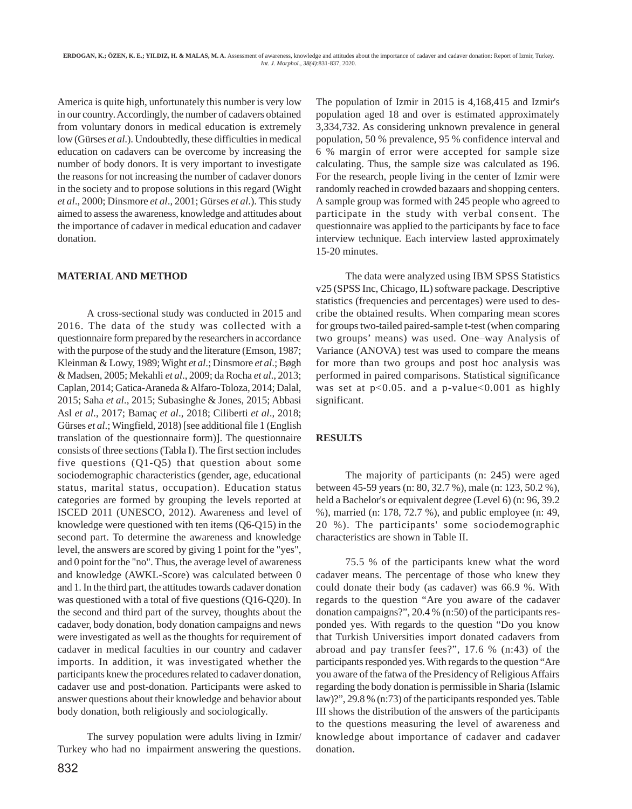America is quite high, unfortunately this number is very low in our country. Accordingly, the number of cadavers obtained from voluntary donors in medical education is extremely low (Gürses *et al.*). Undoubtedly, these difficulties in medical education on cadavers can be overcome by increasing the number of body donors. It is very important to investigate the reasons for not increasing the number of cadaver donors in the society and to propose solutions in this regard (Wight *et al*., 2000; Dinsmore *et al*., 2001; Gürses *et al*.). This study aimed to assess the awareness, knowledge and attitudes about the importance of cadaver in medical education and cadaver donation.

#### **MATERIAL AND METHOD**

A cross-sectional study was conducted in 2015 and 2016. The data of the study was collected with a questionnaire form prepared by the researchers in accordance with the purpose of the study and the literature (Emson, 1987; Kleinman & Lowy, 1989; Wight *et al*.; Dinsmore *et al*.; Bøgh & Madsen, 2005; Mekahli *et al*., 2009; da Rocha *et al*., 2013; Caplan, 2014; Gatica-Araneda & Alfaro-Toloza, 2014; Dalal, 2015; Saha *et al*., 2015; Subasinghe & Jones, 2015; Abbasi Asl *et al*., 2017; Bamaç *et al*., 2018; Ciliberti *et al*., 2018; Gürses *et al*.; Wingfield, 2018) [see additional file 1 (English translation of the questionnaire form)]. The questionnaire consists of three sections (Tabla I). The first section includes five questions (Q1-Q5) that question about some sociodemographic characteristics (gender, age, educational status, marital status, occupation). Education status categories are formed by grouping the levels reported at ISCED 2011 (UNESCO, 2012). Awareness and level of knowledge were questioned with ten items (Q6-Q15) in the second part. To determine the awareness and knowledge level, the answers are scored by giving 1 point for the "yes", and 0 point for the "no". Thus, the average level of awareness and knowledge (AWKL-Score) was calculated between 0 and 1. In the third part, the attitudes towards cadaver donation was questioned with a total of five questions (Q16-Q20). In the second and third part of the survey, thoughts about the cadaver, body donation, body donation campaigns and news were investigated as well as the thoughts for requirement of cadaver in medical faculties in our country and cadaver imports. In addition, it was investigated whether the participants knew the procedures related to cadaver donation, cadaver use and post-donation. Participants were asked to answer questions about their knowledge and behavior about body donation, both religiously and sociologically.

The survey population were adults living in Izmir/ Turkey who had no impairment answering the questions. The population of Izmir in 2015 is 4,168,415 and Izmir's population aged 18 and over is estimated approximately 3,334,732. As considering unknown prevalence in general population, 50 % prevalence, 95 % confidence interval and 6 % margin of error were accepted for sample size calculating. Thus, the sample size was calculated as 196. For the research, people living in the center of Izmir were randomly reached in crowded bazaars and shopping centers. A sample group was formed with 245 people who agreed to participate in the study with verbal consent. The questionnaire was applied to the participants by face to face interview technique. Each interview lasted approximately 15-20 minutes.

The data were analyzed using IBM SPSS Statistics v25 (SPSS Inc, Chicago, IL) software package. Descriptive statistics (frequencies and percentages) were used to describe the obtained results. When comparing mean scores for groups two-tailed paired-sample t-test (when comparing two groups' means) was used. One–way Analysis of Variance (ANOVA) test was used to compare the means for more than two groups and post hoc analysis was performed in paired comparisons. Statistical significance was set at  $p<0.05$ . and a p-value $<0.001$  as highly significant.

#### **RESULTS**

The majority of participants (n: 245) were aged between 45-59 years (n: 80, 32.7 %), male (n: 123, 50.2 %), held a Bachelor's or equivalent degree (Level 6) (n: 96, 39.2 %), married (n: 178, 72.7 %), and public employee (n: 49, 20 %). The participants' some sociodemographic characteristics are shown in Table II.

75.5 % of the participants knew what the word cadaver means. The percentage of those who knew they could donate their body (as cadaver) was 66.9 %. With regards to the question "Are you aware of the cadaver donation campaigns?", 20.4 % (n:50) of the participants responded yes. With regards to the question "Do you know that Turkish Universities import donated cadavers from abroad and pay transfer fees?", 17.6 % (n:43) of the participants responded yes. With regards to the question "Are you aware of the fatwa of the Presidency of Religious Affairs regarding the body donation is permissible in Sharia (Islamic law)?", 29.8 % (n:73) of the participants responded yes. Table III shows the distribution of the answers of the participants to the questions measuring the level of awareness and knowledge about importance of cadaver and cadaver donation.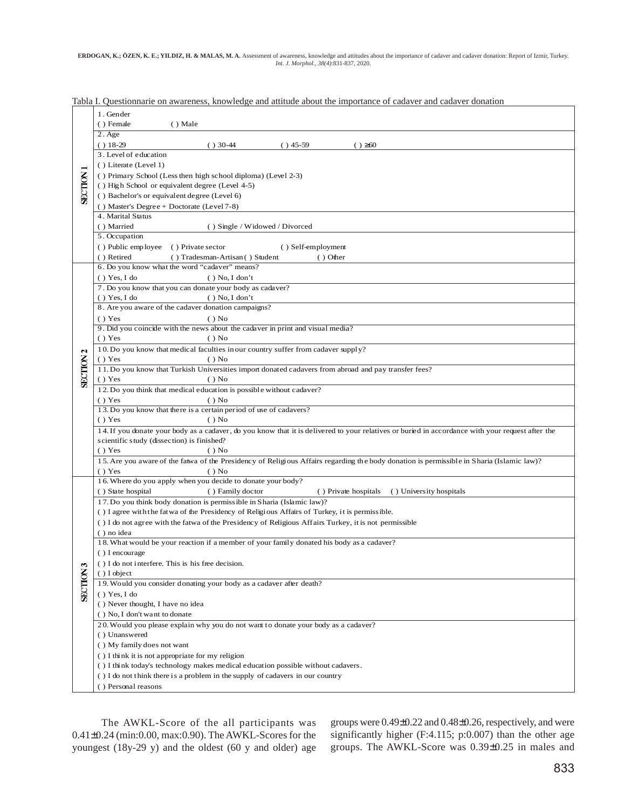|                                | 1. Gender<br>() Female<br>() Male                                                                                                                                                                                  |
|--------------------------------|--------------------------------------------------------------------------------------------------------------------------------------------------------------------------------------------------------------------|
| <b>SECTION</b>                 | $2.$ Age<br>$() 18-29$<br>$() 30-44$<br>$( ) 45-59$<br>$() \ge 60$                                                                                                                                                 |
|                                | 3. Level of education<br>() Literate (Level 1)<br>() Primary School (Less then high school diploma) (Level 2-3)<br>() High School or equivalent degree (Level 4-5)<br>() Bachelor's or equivalent degree (Level 6) |
|                                | () Master's Degree + Doctorate (Level $7-8$ )<br>4. Marital Status<br>() Married<br>() Single / Widowed / Divorced<br>5. Occupation                                                                                |
|                                | () Public employee<br>() Private sector<br>() Self-employment<br>() Tradesman-Artisan () Student<br>() Retired<br>$()$ Other                                                                                       |
|                                | 6. Do you know what the word "cadaver" means?<br>() Yes, I do<br>$()$ No, I don't                                                                                                                                  |
|                                | 7. Do you know that you can donate your body as cadaver?<br>() Yes, I do<br>$()$ No, I don't                                                                                                                       |
|                                | 8. Are you aware of the cadaver donation campaigns?<br>() Yes<br>$()$ No                                                                                                                                           |
| $\mathbf{c}$<br><b>SECTION</b> | 9. Did you coincide with the news about the cadaver in print and visual media?<br>() Yes<br>$()$ No                                                                                                                |
|                                | 10. Do you know that medical faculties in our country suffer from cadaver supply?<br>() Yes<br>$()$ No                                                                                                             |
|                                | 11. Do you know that Turkish Universities import donated cadavers from abroad and pay transfer fees?<br>() Yes<br>$()$ No                                                                                          |
|                                | 12. Do you think that medical education is possible without cadaver?<br>() Yes<br>$()$ No                                                                                                                          |
|                                | 13. Do you know that there is a certain period of use of cadavers?<br>() Yes<br>$()$ No                                                                                                                            |
|                                | 14. If you donate your body as a cadaver, do you know that it is delivered to your relatives or buried in accordance with your request after the<br>scientific study (dissection) is finished?<br>() Yes           |
|                                | $()$ No<br>15. Are you aware of the fatwa of the Presidency of Religious Affairs regarding the body donation is permissible in Sharia (Islamic law)?<br>() Yes<br>$()$ No                                          |
|                                | 16. Where do you apply when you decide to donate your body?<br>() Private hospitals<br>() State hospital<br>() Family doctor<br>() University hospitals                                                            |
|                                | 17. Do you think body donation is permissible in Sharia (Islamic law)?<br>() I agree with the fat wa of the Presidency of Religious Affairs of Turkey, it is permissible.                                          |
|                                | () I do not agree with the fatwa of the Presidency of Religious Affairs Turkey, it is not permissible<br>() no idea                                                                                                |
|                                | 18. What would be your reaction if a member of your family donated his body as a cadaver?<br>() I encourage                                                                                                        |
| m<br><b>SECTIO</b>             | () I do not interfere. This is his free decision.<br>() I object                                                                                                                                                   |
|                                | 19. Would you consider donating your body as a cadaver after death?<br>() Yes, I do                                                                                                                                |
|                                | () Never thought, I have no idea<br>() No, I don't want to donate                                                                                                                                                  |
|                                | 20. Would you please explain why you do not want to donate your body as a cadaver?<br>() Unanswered                                                                                                                |
|                                | () My family does not want                                                                                                                                                                                         |
|                                | () I think it is not appropriate for my religion<br>() I think today's technology makes medical education possible without cadavers.                                                                               |
|                                | () I do not think there is a problem in the supply of cadavers in our country                                                                                                                                      |
|                                | () Personal reasons                                                                                                                                                                                                |

Tabla I. Questionnarie on awareness, knowledge and attitude about the importance of cadaver and cadaver donation

The AWKL-Score of the all participants was 0.41±0.24 (min:0.00, max:0.90). The AWKL-Scores for the youngest (18y-29 y) and the oldest (60 y and older) age

groups were 0.49±0.22 and 0.48±0.26, respectively, and were significantly higher (F:4.115; p:0.007) than the other age groups. The AWKL-Score was 0.39±0.25 in males and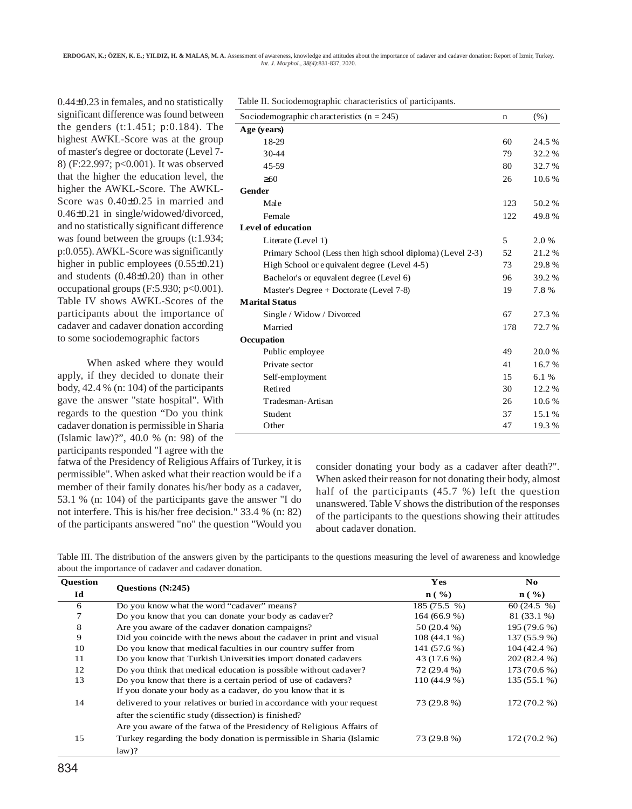ERDOGAN, K.; ÖZEN, K. E.; YILDIZ, H. & MALAS, M. A. Assessment of awareness, knowledge and attitudes about the importance of cadaver and cadaver donation: Report of Izmir, Turkey. *Int. J. Morphol., 38(4)*:831-837, 2020.

0.44±0.23 in females, and no statistically significant difference was found between the genders (t:1.451; p:0.184). The highest AWKL-Score was at the group of master's degree or doctorate (Level 7- 8) (F:22.997; p<0.001). It was observed that the higher the education level, the higher the AWKL-Score. The AWKL-Score was 0.40±0.25 in married and 0.46±0.21 in single/widowed/divorced, and no statistically significant difference was found between the groups (t:1.934; p:0.055). AWKL-Score was significantly higher in public employees  $(0.55\pm0.21)$ and students (0.48±0.20) than in other occupational groups  $(F:5.930; p<0.001)$ . Table IV shows AWKL-Scores of the participants about the importance of cadaver and cadaver donation according to some sociodemographic factors

When asked where they would apply, if they decided to donate their body, 42.4 % (n: 104) of the participants gave the answer "state hospital". With regards to the question "Do you think cadaver donation is permissible in Sharia (Islamic law)?", 40.0 % (n: 98) of the participants responded "I agree with the

fatwa of the Presidency of Religious Affairs of Turkey, it is permissible". When asked what their reaction would be if a member of their family donates his/her body as a cadaver, 53.1 % (n: 104) of the participants gave the answer "I do not interfere. This is his/her free decision." 33.4 % (n: 82) of the participants answered "no" the question "Would you

Table II. Sociodemographic characteristics of participants.

| Sociodemographic characteristics $(n = 245)$               | n   | (% )   |
|------------------------------------------------------------|-----|--------|
| Age (vears)                                                |     |        |
| 18-29                                                      | 60  | 24.5 % |
| 30-44                                                      | 79  | 32.2%  |
| 45-59                                                      | 80  | 32.7 % |
| $\geq 60$                                                  | 26  | 10.6%  |
| Gender                                                     |     |        |
| Male                                                       | 123 | 50.2%  |
| Female                                                     | 122 | 49.8%  |
| Level of education                                         |     |        |
| Literate (Level 1)                                         | 5   | 2.0%   |
| Primary School (Less then high school diploma) (Level 2-3) | 52  | 21.2%  |
| High School or equivalent degree (Level 4-5)               | 73  | 29.8%  |
| Bachelor's or equident degree (Level 6)                    | 96  | 39.2 % |
| Master's Degree $+$ Doctorate (Level 7-8)                  | 19  | 7.8%   |
| <b>Marital Status</b>                                      |     |        |
| Single / Widow / Divorced                                  | 67  | 27.3 % |
| Married                                                    | 178 | 72.7%  |
| Occupation                                                 |     |        |
| Public employee                                            | 49  | 20.0%  |
| Private sector                                             | 41  | 16.7%  |
| Self-employment                                            | 15  | 6.1%   |
| Retired                                                    | 30  | 12.2 % |
| Tradesman-Artisan                                          | 26  | 10.6%  |
| Student                                                    | 37  | 15.1%  |
| Other                                                      | 47  | 19.3%  |
|                                                            |     |        |

consider donating your body as a cadaver after death?". When asked their reason for not donating their body, almost half of the participants (45.7 %) left the question unanswered. Table V shows the distribution of the responses of the participants to the questions showing their attitudes about cadaver donation.

Table III. The distribution of the answers given by the participants to the questions measuring the level of awareness and knowledge about the importance of cadaver and cadaver donation.

| <b>Ouestion</b> |                                                                                 | <b>Yes</b>       | N <sub>0</sub>   |  |
|-----------------|---------------------------------------------------------------------------------|------------------|------------------|--|
| Id              | <b>Ouestions</b> (N:245)                                                        | $\mathbf{n}$ (%) | $\mathbf{n}$ (%) |  |
| 6               | Do you know what the word "cadaver" means?                                      | 185 (75.5 %)     | 60(24.5 %)       |  |
| 7               | Do you know that you can donate your body as cadaver?                           | $164(66.9\%)$    | 81 (33.1 %)      |  |
| 8               | Are you aware of the cadaver donation campaigns?                                | $50(20.4\%)$     | 195 (79.6 %)     |  |
| 9               | Did you coincide with the news about the cadaver in print and visual            | $108(44.1\%)$    | $137(55.9\%)$    |  |
| 10              | Do you know that medical faculties in our country suffer from                   | 141 (57.6 %)     | $104(42.4\%)$    |  |
| 11              | Do you know that Turkish Universities import donated cadavers                   | 43 (17.6 %)      | $202(82.4\%)$    |  |
| 12              | Do you think that medical education is possible without cadaver?                | 72 (29.4 %)      | $173(70.6\%)$    |  |
| 13              | Do you know that there is a certain period of use of cadavers?                  | 110 (44.9 %)     | $135(55.1\%)$    |  |
|                 | If you donate your body as a cadaver, do you know that it is                    |                  |                  |  |
| 14              | delivered to your relatives or buried in accordance with your request           | 73 (29.8 %)      | $172(70.2\%)$    |  |
|                 | after the scientific study (dissection) is finished?                            |                  |                  |  |
|                 | Are you aware of the fatwa of the Presidency of Religious Affairs of            |                  |                  |  |
| 15              | Turkey regarding the body donation is permissible in Sharia (Islamic<br>$law$ ? | 73 (29.8 %)      | $172(70.2\%)$    |  |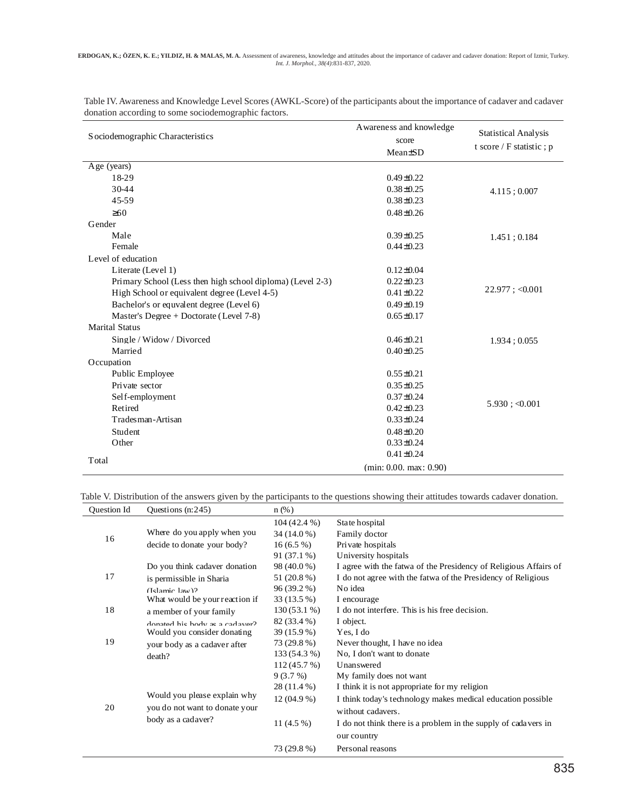| S ociodemographic Characteristics                          | A wareness and knowledge<br>score<br>Mean±SD | <b>Statistical Analysis</b><br>t score / F statistic; p |
|------------------------------------------------------------|----------------------------------------------|---------------------------------------------------------|
| Age (years)                                                |                                              |                                                         |
| 18-29                                                      | $0.49 \pm 0.22$                              |                                                         |
| 30-44                                                      | $0.38 + 0.25$                                | $4.115$ ; 0.007                                         |
| 45-59                                                      | $0.38 \pm 0.23$                              |                                                         |
| $\geq 60$                                                  | $0.48 + 0.26$                                |                                                         |
| Gender                                                     |                                              |                                                         |
| Male                                                       | $0.39 \pm 0.25$                              | 1.451; 0.184                                            |
| Female                                                     | $0.44 \pm 0.23$                              |                                                         |
| Level of education                                         |                                              |                                                         |
| Literate (Level 1)                                         | $0.12 \pm 0.04$                              |                                                         |
| Primary School (Less then high school diploma) (Level 2-3) | $0.22 \pm 0.23$                              |                                                         |
| High School or equivalent degree (Level 4-5)               | $0.41 \pm 0.22$                              | $22.977$ ; <0.001                                       |
| Bachelor's or equivalent degree (Level 6)                  | $0.49 \pm 0.19$                              |                                                         |
| Master's Degree $+$ Doctorate (Level 7-8)                  | $0.65 \pm 0.17$                              |                                                         |
| <b>Marital Status</b>                                      |                                              |                                                         |
| Single / Widow / Divorced                                  | $0.46 \pm 0.21$                              | 1.934:0.055                                             |
| Married                                                    | $0.40 \pm 0.25$                              |                                                         |
| Occupation                                                 |                                              |                                                         |
| Public Employee                                            | $0.55 \pm 0.21$                              |                                                         |
| Private sector                                             | $0.35 \pm 0.25$                              |                                                         |
| Self-employment                                            | $0.37 \pm 0.24$                              |                                                         |
| Retired                                                    | $0.42 \pm 0.23$                              | $5.930$ ; <0.001                                        |
| Tradesman-Artisan                                          | $0.33 \pm 0.24$                              |                                                         |
| Student                                                    | $0.48 \pm 0.20$                              |                                                         |
| Other                                                      | $0.33 \pm 0.24$                              |                                                         |
| Total                                                      | $0.41 \pm 0.24$                              |                                                         |
|                                                            | (min: 0.00, max: 0.90)                       |                                                         |

Table IV. Awareness and Knowledge Level Scores (AWKL-Score) of the participants about the importance of cadaver and cadaver donation according to some sociodemographic factors.

Table V. Distribution of the answers given by the participants to the questions showing their attitudes towards cadaver donation.

| Question Id | Questions $(n:245)$                                                                  | $n$ (%)       |                                                                  |
|-------------|--------------------------------------------------------------------------------------|---------------|------------------------------------------------------------------|
|             |                                                                                      | $104(42.4\%)$ | State hospital                                                   |
| 16          | Where do you apply when you                                                          | 34 (14.0 %)   | Family doctor                                                    |
|             | decide to donate your body?                                                          | $16(6.5\%)$   | Private hospitals                                                |
|             |                                                                                      | $91(37.1\%)$  | University hospitals                                             |
|             | Do you think cadaver donation                                                        | 98 (40.0 %)   | I agree with the fatwa of the Presidency of Religious Affairs of |
| 17          | is permissible in Sharia                                                             | 51 (20.8 %)   | I do not agree with the fatwa of the Presidency of Religious     |
|             | $(Islamic law)$ ?                                                                    | 96 (39.2 %)   | No idea                                                          |
|             | What would be your reaction if                                                       | 33 (13.5 %)   | I encourage                                                      |
| 18          | a member of your family                                                              | 130 (53.1 %)  | I do not interfere. This is his free decision.                   |
|             | donated his hody as a cadaver?                                                       | 82 (33.4 %)   | I object.                                                        |
|             | Would you consider donating                                                          | 39 (15.9 %)   | Yes, I do                                                        |
| 19          | your body as a cadaver after                                                         | 73 (29.8 %)   | Never thought, I have no idea                                    |
|             | death?                                                                               | 133 (54.3 %)  | No, I don't want to donate                                       |
|             |                                                                                      | 112(45.7%)    | Unanswered                                                       |
|             | Would you please explain why<br>you do not want to donate your<br>body as a cadaver? | 9(3.7%)       | My family does not want                                          |
|             |                                                                                      | 28 (11.4 %)   | I think it is not appropriate for my religion                    |
|             |                                                                                      | $12(04.9\%)$  | I think today's technology makes medical education possible      |
| 20          |                                                                                      |               | without cadavers.                                                |
|             |                                                                                      | 11 $(4.5\%)$  | I do not think there is a problem in the supply of cadavers in   |
|             |                                                                                      |               | our country                                                      |
|             |                                                                                      | 73 (29.8 %)   | Personal reasons                                                 |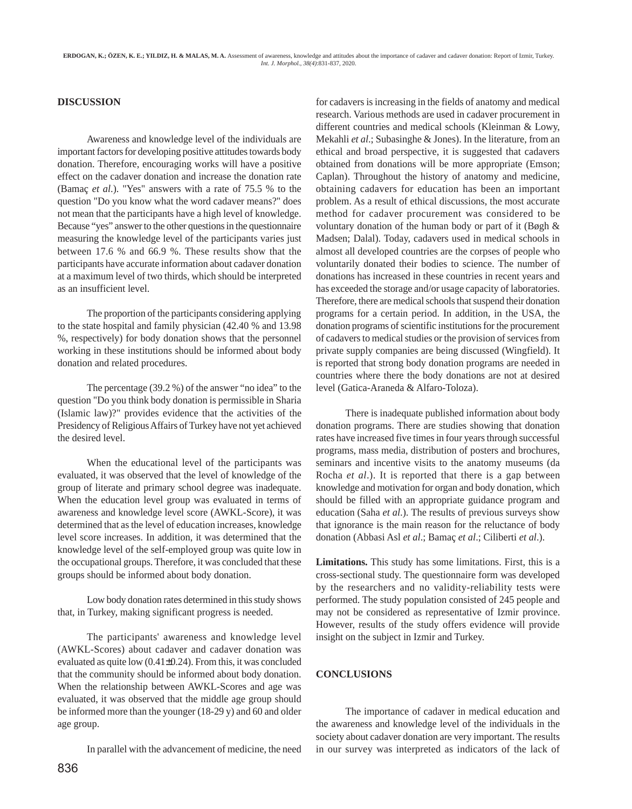## **DISCUSSION**

Awareness and knowledge level of the individuals are important factors for developing positive attitudes towards body donation. Therefore, encouraging works will have a positive effect on the cadaver donation and increase the donation rate (Bamaç *et al*.). "Yes" answers with a rate of 75.5 % to the question "Do you know what the word cadaver means?" does not mean that the participants have a high level of knowledge. Because "yes" answer to the other questions in the questionnaire measuring the knowledge level of the participants varies just between 17.6 % and 66.9 %. These results show that the participants have accurate information about cadaver donation at a maximum level of two thirds, which should be interpreted as an insufficient level.

The proportion of the participants considering applying to the state hospital and family physician (42.40 % and 13.98 %, respectively) for body donation shows that the personnel working in these institutions should be informed about body donation and related procedures.

The percentage (39.2 %) of the answer "no idea" to the question "Do you think body donation is permissible in Sharia (Islamic law)?" provides evidence that the activities of the Presidency of Religious Affairs of Turkey have not yet achieved the desired level.

When the educational level of the participants was evaluated, it was observed that the level of knowledge of the group of literate and primary school degree was inadequate. When the education level group was evaluated in terms of awareness and knowledge level score (AWKL-Score), it was determined that as the level of education increases, knowledge level score increases. In addition, it was determined that the knowledge level of the self-employed group was quite low in the occupational groups. Therefore, it was concluded that these groups should be informed about body donation.

Low body donation rates determined in this study shows that, in Turkey, making significant progress is needed.

The participants' awareness and knowledge level (AWKL-Scores) about cadaver and cadaver donation was evaluated as quite low (0.41±0.24). From this, it was concluded that the community should be informed about body donation. When the relationship between AWKL-Scores and age was evaluated, it was observed that the middle age group should be informed more than the younger (18-29 y) and 60 and older age group.

In parallel with the advancement of medicine, the need

for cadavers is increasing in the fields of anatomy and medical research. Various methods are used in cadaver procurement in different countries and medical schools (Kleinman & Lowy, Mekahli *et al*.; Subasinghe & Jones). In the literature, from an ethical and broad perspective, it is suggested that cadavers obtained from donations will be more appropriate (Emson; Caplan). Throughout the history of anatomy and medicine, obtaining cadavers for education has been an important problem. As a result of ethical discussions, the most accurate method for cadaver procurement was considered to be voluntary donation of the human body or part of it (Bøgh & Madsen; Dalal). Today, cadavers used in medical schools in almost all developed countries are the corpses of people who voluntarily donated their bodies to science. The number of donations has increased in these countries in recent years and has exceeded the storage and/or usage capacity of laboratories. Therefore, there are medical schools that suspend their donation programs for a certain period. In addition, in the USA, the donation programs of scientific institutions for the procurement of cadavers to medical studies or the provision of services from private supply companies are being discussed (Wingfield). It is reported that strong body donation programs are needed in countries where there the body donations are not at desired level (Gatica-Araneda & Alfaro-Toloza).

There is inadequate published information about body donation programs. There are studies showing that donation rates have increased five times in four years through successful programs, mass media, distribution of posters and brochures, seminars and incentive visits to the anatomy museums (da Rocha *et al*.). It is reported that there is a gap between knowledge and motivation for organ and body donation, which should be filled with an appropriate guidance program and education (Saha *et al*.). The results of previous surveys show that ignorance is the main reason for the reluctance of body donation (Abbasi Asl *et al*.; Bamaç *et al*.; Ciliberti *et al*.).

**Limitations.** This study has some limitations. First, this is a cross-sectional study. The questionnaire form was developed by the researchers and no validity-reliability tests were performed. The study population consisted of 245 people and may not be considered as representative of Izmir province. However, results of the study offers evidence will provide insight on the subject in Izmir and Turkey.

#### **CONCLUSIONS**

The importance of cadaver in medical education and the awareness and knowledge level of the individuals in the society about cadaver donation are very important. The results in our survey was interpreted as indicators of the lack of